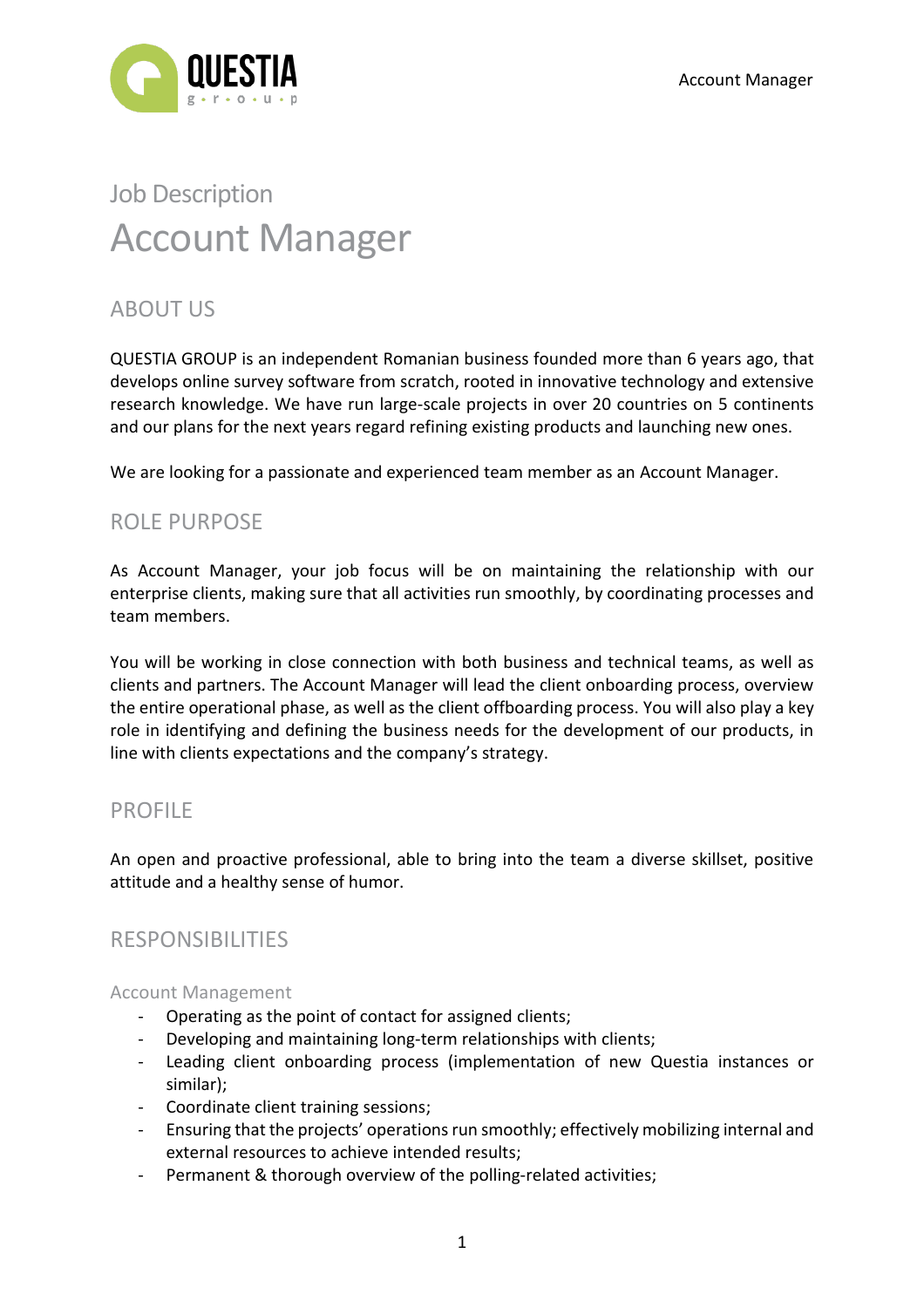

# Job Description Account Manager

# ABOUT US

QUESTIA GROUP is an independent Romanian business founded more than 6 years ago, that develops online survey software from scratch, rooted in innovative technology and extensive research knowledge. We have run large-scale projects in over 20 countries on 5 continents and our plans for the next years regard refining existing products and launching new ones.

We are looking for a passionate and experienced team member as an Account Manager.

## ROLE PURPOSE

As Account Manager, your job focus will be on maintaining the relationship with our enterprise clients, making sure that all activities run smoothly, by coordinating processes and team members.

You will be working in close connection with both business and technical teams, as well as clients and partners. The Account Manager will lead the client onboarding process, overview the entire operational phase, as well as the client offboarding process. You will also play a key role in identifying and defining the business needs for the development of our products, in line with clients expectations and the company's strategy.

## PROFILE

An open and proactive professional, able to bring into the team a diverse skillset, positive attitude and a healthy sense of humor.

## RESPONSIBILITIES

#### Account Management

- Operating as the point of contact for assigned clients;
- Developing and maintaining long-term relationships with clients;
- Leading client onboarding process (implementation of new Questia instances or similar);
- Coordinate client training sessions;
- Ensuring that the projects' operations run smoothly; effectively mobilizing internal and external resources to achieve intended results;
- Permanent & thorough overview of the polling-related activities;